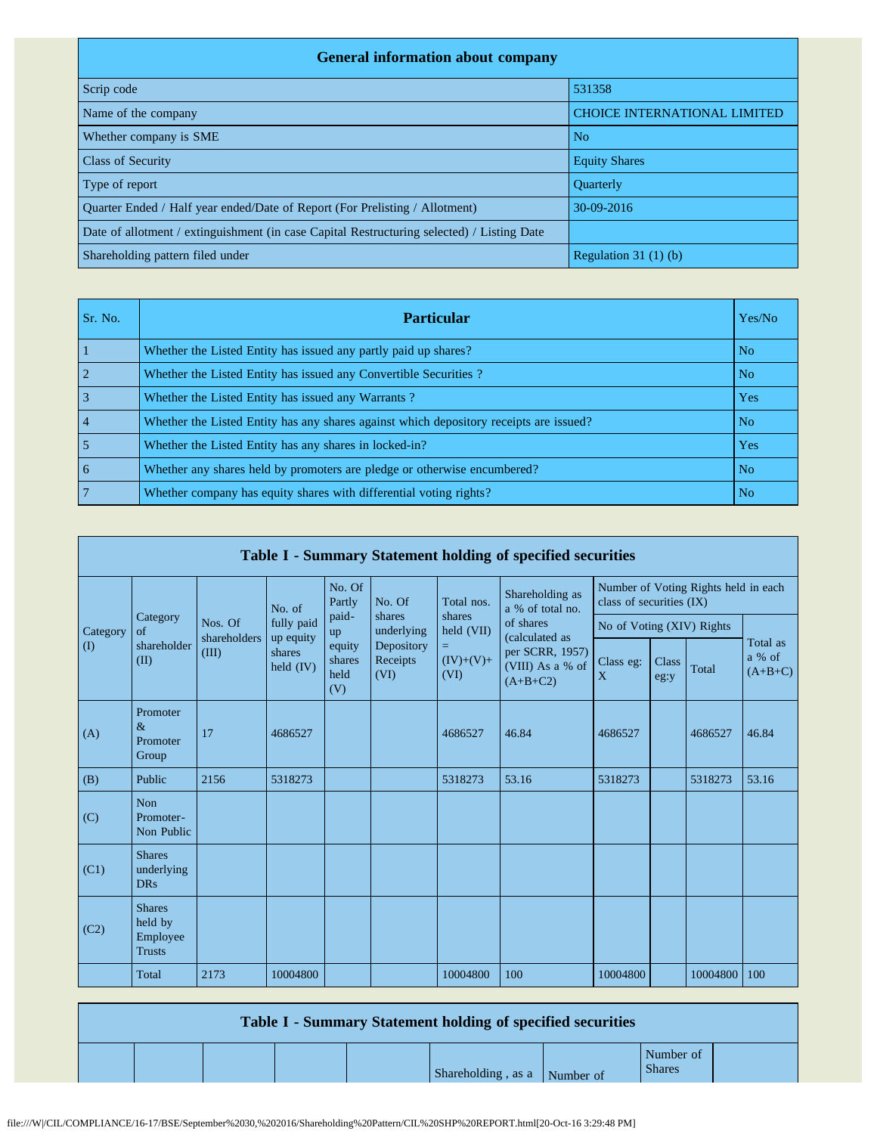| <b>General information about company</b>                                                   |                                     |  |  |  |  |  |  |  |
|--------------------------------------------------------------------------------------------|-------------------------------------|--|--|--|--|--|--|--|
| Scrip code                                                                                 | 531358                              |  |  |  |  |  |  |  |
| Name of the company                                                                        | <b>CHOICE INTERNATIONAL LIMITED</b> |  |  |  |  |  |  |  |
| Whether company is SME                                                                     | N <sub>o</sub>                      |  |  |  |  |  |  |  |
| <b>Class of Security</b>                                                                   | <b>Equity Shares</b>                |  |  |  |  |  |  |  |
| Type of report                                                                             | <b>Ouarterly</b>                    |  |  |  |  |  |  |  |
| Quarter Ended / Half year ended/Date of Report (For Prelisting / Allotment)                | 30-09-2016                          |  |  |  |  |  |  |  |
| Date of allotment / extinguishment (in case Capital Restructuring selected) / Listing Date |                                     |  |  |  |  |  |  |  |
| Shareholding pattern filed under                                                           | Regulation $31(1)(b)$               |  |  |  |  |  |  |  |

| Sr. No.        | <b>Particular</b>                                                                      | Yes/No         |
|----------------|----------------------------------------------------------------------------------------|----------------|
|                | Whether the Listed Entity has issued any partly paid up shares?                        | N <sub>o</sub> |
|                | Whether the Listed Entity has issued any Convertible Securities?                       | N <sub>o</sub> |
|                | Whether the Listed Entity has issued any Warrants?                                     | Yes            |
| $\overline{4}$ | Whether the Listed Entity has any shares against which depository receipts are issued? | N <sub>o</sub> |
|                | Whether the Listed Entity has any shares in locked-in?                                 | Yes            |
| 6              | Whether any shares held by promoters are pledge or otherwise encumbered?               | N <sub>o</sub> |
|                | Whether company has equity shares with differential voting rights?                     | N <sub>o</sub> |

|             | Table I - Summary Statement holding of specified securities |                                                                                                                               |             |                                                                     |                      |                      |                                     |                                                                  |  |          |       |  |
|-------------|-------------------------------------------------------------|-------------------------------------------------------------------------------------------------------------------------------|-------------|---------------------------------------------------------------------|----------------------|----------------------|-------------------------------------|------------------------------------------------------------------|--|----------|-------|--|
|             |                                                             |                                                                                                                               | No. of      | No. Of<br>Partly                                                    | No. Of               | Total nos.           | Shareholding as<br>a % of total no. | Number of Voting Rights held in each<br>class of securities (IX) |  |          |       |  |
| Category    | Category<br>$\sigma$ f                                      | Nos. Of<br>shareholders                                                                                                       | fully paid  | paid-<br>up                                                         | shares<br>underlying | shares<br>held (VII) | of shares<br>(calculated as         | No of Voting (XIV) Rights                                        |  |          |       |  |
| $($ $($ $)$ | shareholder<br>(II)                                         | up equity<br>equity<br>Depository<br>=<br>(III)<br>shares<br>shares<br>Receipts<br>held $(IV)$<br>held<br>(VI)<br>(VI)<br>(V) | $(IV)+(V)+$ | per SCRR, 1957)<br>Class eg:<br>(VIII) As a % of<br>X<br>$(A+B+C2)$ |                      | Class<br>eg:y        | Total                               | Total as<br>a % of<br>$(A+B+C)$                                  |  |          |       |  |
| (A)         | Promoter<br>$\&$<br>Promoter<br>Group                       | 17                                                                                                                            | 4686527     |                                                                     |                      | 4686527              | 46.84                               | 4686527                                                          |  | 4686527  | 46.84 |  |
| (B)         | Public                                                      | 2156                                                                                                                          | 5318273     |                                                                     |                      | 5318273              | 53.16                               | 5318273                                                          |  | 5318273  | 53.16 |  |
| (C)         | <b>Non</b><br>Promoter-<br>Non Public                       |                                                                                                                               |             |                                                                     |                      |                      |                                     |                                                                  |  |          |       |  |
| (C1)        | <b>Shares</b><br>underlying<br><b>DRs</b>                   |                                                                                                                               |             |                                                                     |                      |                      |                                     |                                                                  |  |          |       |  |
| (C2)        | <b>Shares</b><br>held by<br>Employee<br><b>Trusts</b>       |                                                                                                                               |             |                                                                     |                      |                      |                                     |                                                                  |  |          |       |  |
|             | Total                                                       | 2173                                                                                                                          | 10004800    |                                                                     |                      | 10004800             | 100                                 | 10004800                                                         |  | 10004800 | 100   |  |

|  |  | <b>Table I - Summary Statement holding of specified securities</b> |
|--|--|--------------------------------------------------------------------|
|--|--|--------------------------------------------------------------------|

Shareholding, as a Number of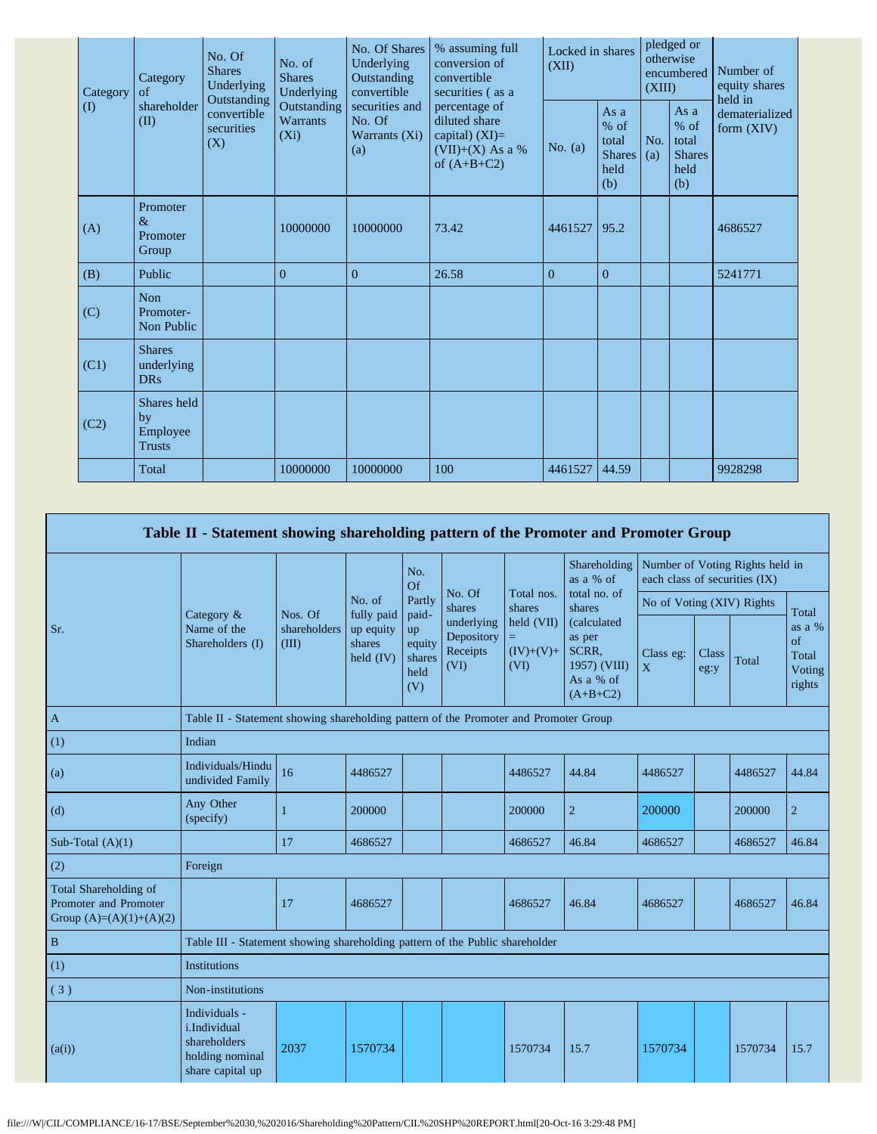|  | of<br>Category<br>$\textcircled{1}$<br>(II) | Category                                       | No. Of<br><b>Shares</b><br>Underlying<br>Outstanding<br>convertible<br>securities<br>(X) | No. of<br><b>Shares</b><br>Underlying<br>Outstanding<br><b>Warrants</b><br>$(X_i)$ | No. Of Shares<br>Underlying<br>Outstanding<br>convertible | % assuming full<br>conversion of<br>convertible<br>securities (as a                       | Locked in shares<br>(XII) |                                                         | pledged or<br>otherwise<br>encumbered<br>(XIII) |                                                       | Number of<br>equity shares<br>held in |
|--|---------------------------------------------|------------------------------------------------|------------------------------------------------------------------------------------------|------------------------------------------------------------------------------------|-----------------------------------------------------------|-------------------------------------------------------------------------------------------|---------------------------|---------------------------------------------------------|-------------------------------------------------|-------------------------------------------------------|---------------------------------------|
|  |                                             | shareholder                                    |                                                                                          |                                                                                    | securities and<br>No. Of<br>Warrants (Xi)<br>(a)          | percentage of<br>diluted share<br>capital) $(XI)=$<br>$(VII)+(X)$ As a %<br>of $(A+B+C2)$ | No. $(a)$                 | As a<br>$%$ of<br>total<br><b>Shares</b><br>held<br>(b) | No.<br>(a)                                      | As a<br>% of<br>total<br><b>Shares</b><br>held<br>(b) | dematerialized<br>form $(XIV)$        |
|  | (A)                                         | Promoter<br>$\&$<br>Promoter<br>Group          |                                                                                          | 10000000                                                                           | 10000000                                                  | 73.42                                                                                     | 4461527                   | 95.2                                                    |                                                 |                                                       | 4686527                               |
|  | (B)                                         | Public                                         |                                                                                          | $\overline{0}$                                                                     | $\overline{0}$                                            | 26.58                                                                                     | $\mathbf{0}$              | $\mathbf{0}$                                            |                                                 |                                                       | 5241771                               |
|  | (C)                                         | <b>Non</b><br>Promoter-<br>Non Public          |                                                                                          |                                                                                    |                                                           |                                                                                           |                           |                                                         |                                                 |                                                       |                                       |
|  | (C1)                                        | <b>Shares</b><br>underlying<br><b>DRs</b>      |                                                                                          |                                                                                    |                                                           |                                                                                           |                           |                                                         |                                                 |                                                       |                                       |
|  | (C2)                                        | Shares held<br>by<br>Employee<br><b>Trusts</b> |                                                                                          |                                                                                    |                                                           |                                                                                           |                           |                                                         |                                                 |                                                       |                                       |
|  |                                             | Total                                          |                                                                                          | 10000000                                                                           | 10000000                                                  | 100                                                                                       | 4461527                   | 44.59                                                   |                                                 |                                                       | 9928298                               |

|                                                                             | Table II - Statement showing shareholding pattern of the Promoter and Promoter Group |                                                                                      |                      |                                                |                                              |                                   |                                                                           |                           |                                                                  |         |                                           |  |
|-----------------------------------------------------------------------------|--------------------------------------------------------------------------------------|--------------------------------------------------------------------------------------|----------------------|------------------------------------------------|----------------------------------------------|-----------------------------------|---------------------------------------------------------------------------|---------------------------|------------------------------------------------------------------|---------|-------------------------------------------|--|
|                                                                             |                                                                                      |                                                                                      | No. of<br>fully paid | No.<br>Of                                      |                                              | Total nos.<br>shares              | Shareholding<br>as a % of<br>total no. of<br>shares                       |                           | Number of Voting Rights held in<br>each class of securities (IX) |         |                                           |  |
|                                                                             | Nos. Of<br>Category &<br>Name of the<br>Shareholders (I)<br>(III)                    |                                                                                      |                      | Partly                                         | No. Of<br>shares                             |                                   |                                                                           | No of Voting (XIV) Rights |                                                                  |         | Total                                     |  |
| Sr.                                                                         |                                                                                      | shareholders<br>up equity<br>shares<br>held $(IV)$                                   |                      | paid-<br>up<br>equity<br>shares<br>held<br>(V) | underlying<br>Depository<br>Receipts<br>(VI) | held (VII)<br>$(IV)+(V)+$<br>(VI) | (calculated<br>as per<br>SCRR.<br>1957) (VIII)<br>As a % of<br>$(A+B+C2)$ | Class eg:<br>X            | <b>Class</b><br>eg:y                                             | Total   | as a %<br>of<br>Total<br>Voting<br>rights |  |
| $\mathbf{A}$                                                                |                                                                                      | Table II - Statement showing shareholding pattern of the Promoter and Promoter Group |                      |                                                |                                              |                                   |                                                                           |                           |                                                                  |         |                                           |  |
| (1)                                                                         | Indian                                                                               |                                                                                      |                      |                                                |                                              |                                   |                                                                           |                           |                                                                  |         |                                           |  |
| (a)                                                                         | Individuals/Hindu<br>undivided Family                                                | 16                                                                                   | 4486527              |                                                |                                              | 4486527                           | 44.84                                                                     | 4486527                   |                                                                  | 4486527 | 44.84                                     |  |
| (d)                                                                         | Any Other<br>(specify)                                                               |                                                                                      | 200000               |                                                |                                              | 200000                            | $\overline{2}$                                                            | 200000                    |                                                                  | 200000  | $\overline{2}$                            |  |
| Sub-Total $(A)(1)$                                                          |                                                                                      | 17                                                                                   | 4686527              |                                                |                                              | 4686527                           | 46.84                                                                     | 4686527                   |                                                                  | 4686527 | 46.84                                     |  |
| (2)                                                                         | Foreign                                                                              |                                                                                      |                      |                                                |                                              |                                   |                                                                           |                           |                                                                  |         |                                           |  |
| Total Shareholding of<br>Promoter and Promoter<br>Group $(A)=(A)(1)+(A)(2)$ |                                                                                      | 17                                                                                   | 4686527              |                                                |                                              | 4686527                           | 46.84                                                                     | 4686527                   |                                                                  | 4686527 | 46.84                                     |  |
| $\, {\bf B}$                                                                | Table III - Statement showing shareholding pattern of the Public shareholder         |                                                                                      |                      |                                                |                                              |                                   |                                                                           |                           |                                                                  |         |                                           |  |
| (1)                                                                         | <b>Institutions</b>                                                                  |                                                                                      |                      |                                                |                                              |                                   |                                                                           |                           |                                                                  |         |                                           |  |
| (3)                                                                         | Non-institutions                                                                     |                                                                                      |                      |                                                |                                              |                                   |                                                                           |                           |                                                                  |         |                                           |  |
| (a(i))                                                                      | Individuals -<br>i.Individual<br>shareholders<br>holding nominal<br>share capital up | 2037                                                                                 | 1570734              |                                                |                                              | 1570734                           | 15.7                                                                      | 1570734                   |                                                                  | 1570734 | 15.7                                      |  |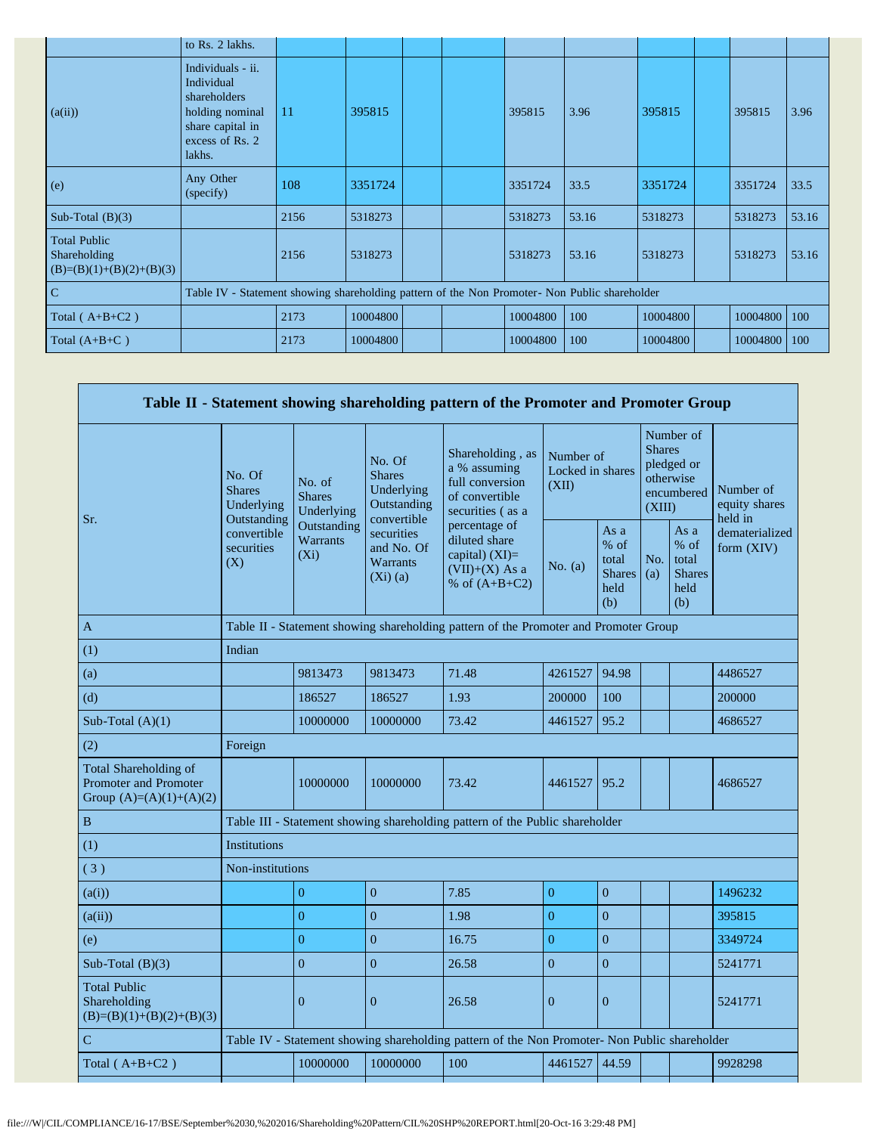|                                                                   | to Rs. 2 lakhs.                                                                                                     |                                                                                               |          |  |  |          |       |          |  |          |       |
|-------------------------------------------------------------------|---------------------------------------------------------------------------------------------------------------------|-----------------------------------------------------------------------------------------------|----------|--|--|----------|-------|----------|--|----------|-------|
| (a(ii))                                                           | Individuals - ii.<br>Individual<br>shareholders<br>holding nominal<br>share capital in<br>excess of Rs. 2<br>lakhs. | -11                                                                                           | 395815   |  |  | 395815   | 3.96  | 395815   |  | 395815   | 3.96  |
| (e)                                                               | Any Other<br>(specify)                                                                                              | 108                                                                                           | 3351724  |  |  | 3351724  | 33.5  | 3351724  |  | 3351724  | 33.5  |
| Sub-Total $(B)(3)$                                                |                                                                                                                     | 2156                                                                                          | 5318273  |  |  | 5318273  | 53.16 | 5318273  |  | 5318273  | 53.16 |
| <b>Total Public</b><br>Shareholding<br>$(B)=(B)(1)+(B)(2)+(B)(3)$ |                                                                                                                     | 2156                                                                                          | 5318273  |  |  | 5318273  | 53.16 | 5318273  |  | 5318273  | 53.16 |
| $\mathbf C$                                                       |                                                                                                                     | Table IV - Statement showing shareholding pattern of the Non Promoter- Non Public shareholder |          |  |  |          |       |          |  |          |       |
| Total $(A+B+C2)$                                                  |                                                                                                                     | 2173                                                                                          | 10004800 |  |  | 10004800 | 100   | 10004800 |  | 10004800 | 100   |
| Total $(A+B+C)$                                                   |                                                                                                                     | 2173                                                                                          | 10004800 |  |  | 10004800 | 100   | 10004800 |  | 10004800 | 100   |

|                                                                             |                                                 |                                                                                      |                                                                     | Table II - Statement showing shareholding pattern of the Promoter and Promoter Group          |                                        |                                                         |                         |                                                       |                                       |  |
|-----------------------------------------------------------------------------|-------------------------------------------------|--------------------------------------------------------------------------------------|---------------------------------------------------------------------|-----------------------------------------------------------------------------------------------|----------------------------------------|---------------------------------------------------------|-------------------------|-------------------------------------------------------|---------------------------------------|--|
| Sr.                                                                         | No. Of<br><b>Shares</b><br>Underlying           | No. of<br><b>Shares</b><br>Underlying                                                | No. Of<br><b>Shares</b><br>Underlying<br>Outstanding<br>convertible | Shareholding, as<br>a % assuming<br>full conversion<br>of convertible<br>securities (as a     | Number of<br>Locked in shares<br>(XII) |                                                         | <b>Shares</b><br>(XIII) | Number of<br>pledged or<br>otherwise<br>encumbered    | Number of<br>equity shares<br>held in |  |
|                                                                             | Outstanding<br>convertible<br>securities<br>(X) | <b>Outstanding</b><br><b>Warrants</b><br>$(X_i)$                                     | securities<br>and No. Of<br><b>Warrants</b><br>$(Xi)$ (a)           | percentage of<br>diluted share<br>capital) $(XI)=$<br>$(VII)+(X)$ As a<br>% of $(A+B+C2)$     | No. $(a)$                              | As a<br>$%$ of<br>total<br><b>Shares</b><br>held<br>(b) | No.<br>(a)              | As a<br>% of<br>total<br><b>Shares</b><br>held<br>(b) | dematerialized<br>form $(XIV)$        |  |
| $\mathbf{A}$                                                                |                                                 | Table II - Statement showing shareholding pattern of the Promoter and Promoter Group |                                                                     |                                                                                               |                                        |                                                         |                         |                                                       |                                       |  |
| (1)                                                                         | Indian                                          |                                                                                      |                                                                     |                                                                                               |                                        |                                                         |                         |                                                       |                                       |  |
| (a)                                                                         |                                                 | 9813473                                                                              | 9813473                                                             | 71.48                                                                                         | 4261527                                | 94.98                                                   |                         |                                                       | 4486527                               |  |
| (d)                                                                         |                                                 | 186527                                                                               | 186527                                                              | 1.93                                                                                          | 200000                                 | 100                                                     |                         |                                                       | 200000                                |  |
| Sub-Total $(A)(1)$                                                          |                                                 | 10000000                                                                             | 10000000                                                            | 73.42                                                                                         | 4461527                                | 95.2                                                    |                         |                                                       | 4686527                               |  |
| (2)                                                                         | Foreign                                         |                                                                                      |                                                                     |                                                                                               |                                        |                                                         |                         |                                                       |                                       |  |
| Total Shareholding of<br>Promoter and Promoter<br>Group $(A)=(A)(1)+(A)(2)$ |                                                 | 10000000                                                                             | 10000000                                                            | 73.42                                                                                         | 4461527                                | 95.2                                                    |                         |                                                       | 4686527                               |  |
| $\, {\bf B}$                                                                |                                                 |                                                                                      |                                                                     | Table III - Statement showing shareholding pattern of the Public shareholder                  |                                        |                                                         |                         |                                                       |                                       |  |
| (1)                                                                         | <b>Institutions</b>                             |                                                                                      |                                                                     |                                                                                               |                                        |                                                         |                         |                                                       |                                       |  |
| (3)                                                                         | Non-institutions                                |                                                                                      |                                                                     |                                                                                               |                                        |                                                         |                         |                                                       |                                       |  |
| (a(i))                                                                      |                                                 | $\overline{0}$                                                                       | $\overline{0}$                                                      | 7.85                                                                                          | $\overline{0}$                         | $\overline{0}$                                          |                         |                                                       | 1496232                               |  |
| (a(ii))                                                                     |                                                 | $\theta$                                                                             | $\overline{0}$                                                      | 1.98                                                                                          | $\overline{0}$                         | $\overline{0}$                                          |                         |                                                       | 395815                                |  |
| (e)                                                                         |                                                 | $\theta$                                                                             | $\overline{0}$                                                      | 16.75                                                                                         | $\overline{0}$                         | $\mathbf{0}$                                            |                         |                                                       | 3349724                               |  |
| Sub-Total $(B)(3)$                                                          |                                                 | $\overline{0}$                                                                       | $\mathbf{0}$                                                        | 26.58                                                                                         | $\Omega$                               | $\overline{0}$                                          |                         |                                                       | 5241771                               |  |
| <b>Total Public</b><br>Shareholding<br>$(B)=(B)(1)+(B)(2)+(B)(3)$           |                                                 | $\overline{0}$                                                                       | $\mathbf{0}$                                                        | 26.58                                                                                         | $\overline{0}$                         | $\overline{0}$                                          |                         |                                                       | 5241771                               |  |
| $\mathcal{C}$                                                               |                                                 |                                                                                      |                                                                     | Table IV - Statement showing shareholding pattern of the Non Promoter- Non Public shareholder |                                        |                                                         |                         |                                                       |                                       |  |
| Total $(A+B+C2)$                                                            |                                                 | 10000000                                                                             | 10000000                                                            | 100                                                                                           | 4461527                                | 44.59                                                   |                         |                                                       | 9928298                               |  |
|                                                                             |                                                 |                                                                                      |                                                                     |                                                                                               |                                        |                                                         |                         |                                                       |                                       |  |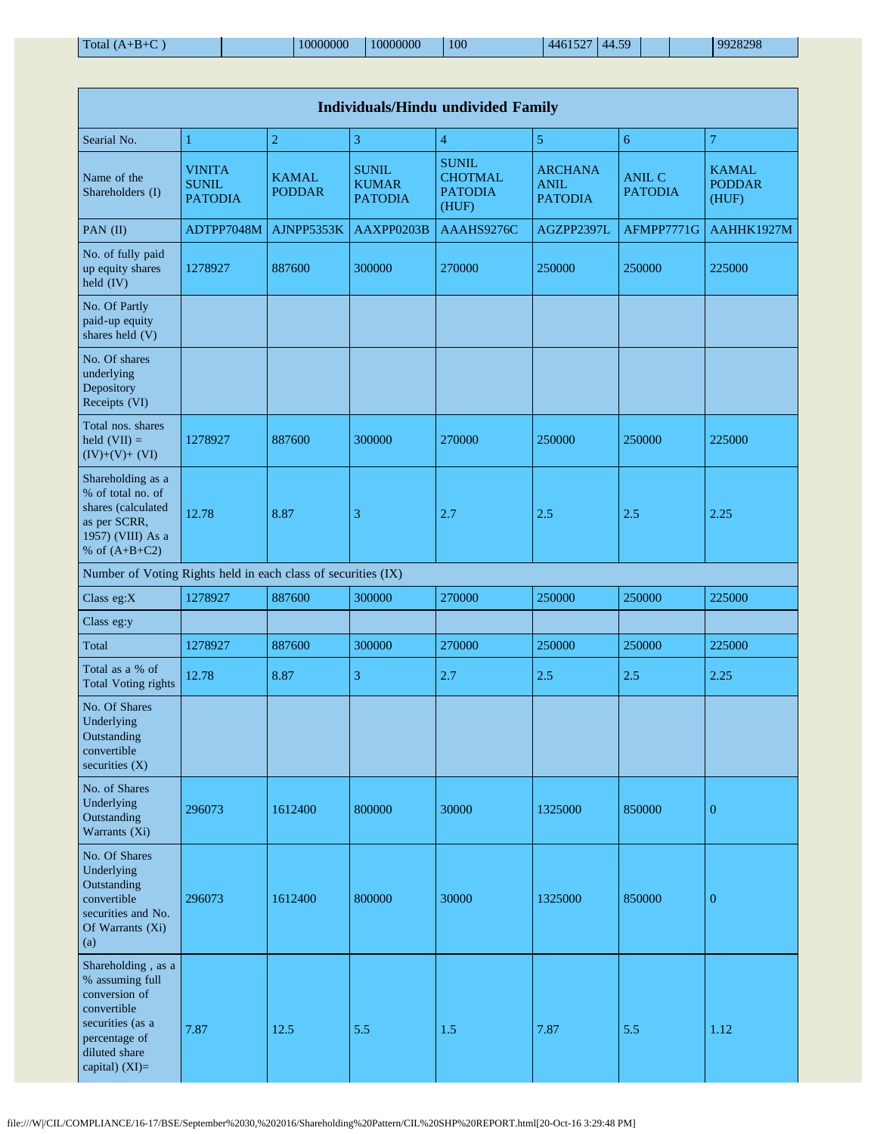| <b>Individuals/Hindu undivided Family</b>                                                                                                       |                                                 |                               |                                                |                                                           |                                                 |                                 |                                        |  |  |  |  |
|-------------------------------------------------------------------------------------------------------------------------------------------------|-------------------------------------------------|-------------------------------|------------------------------------------------|-----------------------------------------------------------|-------------------------------------------------|---------------------------------|----------------------------------------|--|--|--|--|
| Searial No.                                                                                                                                     | 1                                               | $\overline{2}$                | 3                                              | $\overline{4}$                                            | 5                                               | 6                               | $\overline{7}$                         |  |  |  |  |
| Name of the<br>Shareholders (I)                                                                                                                 | <b>VINITA</b><br><b>SUNIL</b><br><b>PATODIA</b> | <b>KAMAL</b><br><b>PODDAR</b> | <b>SUNIL</b><br><b>KUMAR</b><br><b>PATODIA</b> | <b>SUNIL</b><br><b>CHOTMAL</b><br><b>PATODIA</b><br>(HUF) | <b>ARCHANA</b><br><b>ANIL</b><br><b>PATODIA</b> | <b>ANIL C</b><br><b>PATODIA</b> | <b>KAMAL</b><br><b>PODDAR</b><br>(HUF) |  |  |  |  |
| PAN $(II)$                                                                                                                                      | ADTPP7048M                                      | AJNPP5353K                    | AAXPP0203B                                     | AAAHS9276C                                                | AGZPP2397L                                      | AFMPP7771G                      | AAHHK1927M                             |  |  |  |  |
| No. of fully paid<br>up equity shares<br>held (IV)                                                                                              | 1278927                                         | 887600                        | 300000                                         | 270000                                                    | 250000                                          | 250000                          | 225000                                 |  |  |  |  |
| No. Of Partly<br>paid-up equity<br>shares held (V)                                                                                              |                                                 |                               |                                                |                                                           |                                                 |                                 |                                        |  |  |  |  |
| No. Of shares<br>underlying<br>Depository<br>Receipts (VI)                                                                                      |                                                 |                               |                                                |                                                           |                                                 |                                 |                                        |  |  |  |  |
| Total nos. shares<br>held $(VII) =$<br>$(IV)+(V)+(VI)$                                                                                          | 1278927                                         | 887600                        | 300000                                         | 270000                                                    | 250000                                          | 250000                          | 225000                                 |  |  |  |  |
| Shareholding as a<br>% of total no. of<br>shares (calculated<br>as per SCRR,<br>1957) (VIII) As a<br>% of $(A+B+C2)$                            | 12.78                                           | 8.87                          | 3                                              | 2.7                                                       | 2.5                                             | 2.5                             | 2.25                                   |  |  |  |  |
| Number of Voting Rights held in each class of securities (IX)                                                                                   |                                                 |                               |                                                |                                                           |                                                 |                                 |                                        |  |  |  |  |
| Class eg:X                                                                                                                                      | 1278927                                         | 887600                        | 300000                                         | 270000                                                    | 250000                                          | 250000                          | 225000                                 |  |  |  |  |
| Class eg:y                                                                                                                                      |                                                 |                               |                                                |                                                           |                                                 |                                 |                                        |  |  |  |  |
| Total                                                                                                                                           | 1278927                                         | 887600                        | 300000                                         | 270000                                                    | 250000                                          | 250000                          | 225000                                 |  |  |  |  |
| Total as a % of<br><b>Total Voting rights</b>                                                                                                   | 12.78                                           | 8.87                          | 3                                              | 2.7                                                       | 2.5                                             | 2.5                             | 2.25                                   |  |  |  |  |
| No. Of Shares<br>Underlying<br>Outstanding<br>convertible<br>securities $(X)$                                                                   |                                                 |                               |                                                |                                                           |                                                 |                                 |                                        |  |  |  |  |
| No. of Shares<br>Underlying<br>Outstanding<br>Warrants (Xi)                                                                                     | 296073                                          | 1612400                       | 800000                                         | 30000                                                     | 1325000                                         | 850000                          | $\boldsymbol{0}$                       |  |  |  |  |
| No. Of Shares<br>Underlying<br>Outstanding<br>convertible<br>securities and No.<br>Of Warrants (Xi)<br>(a)                                      | 296073                                          | 1612400                       | 800000                                         | 30000                                                     | 1325000                                         | 850000                          | $\mathbf{0}$                           |  |  |  |  |
| Shareholding, as a<br>% assuming full<br>conversion of<br>convertible<br>securities (as a<br>percentage of<br>diluted share<br>capital) $(XI)=$ | 7.87                                            | 12.5                          | 5.5                                            | 1.5                                                       | 7.87                                            | 5.5                             | 1.12                                   |  |  |  |  |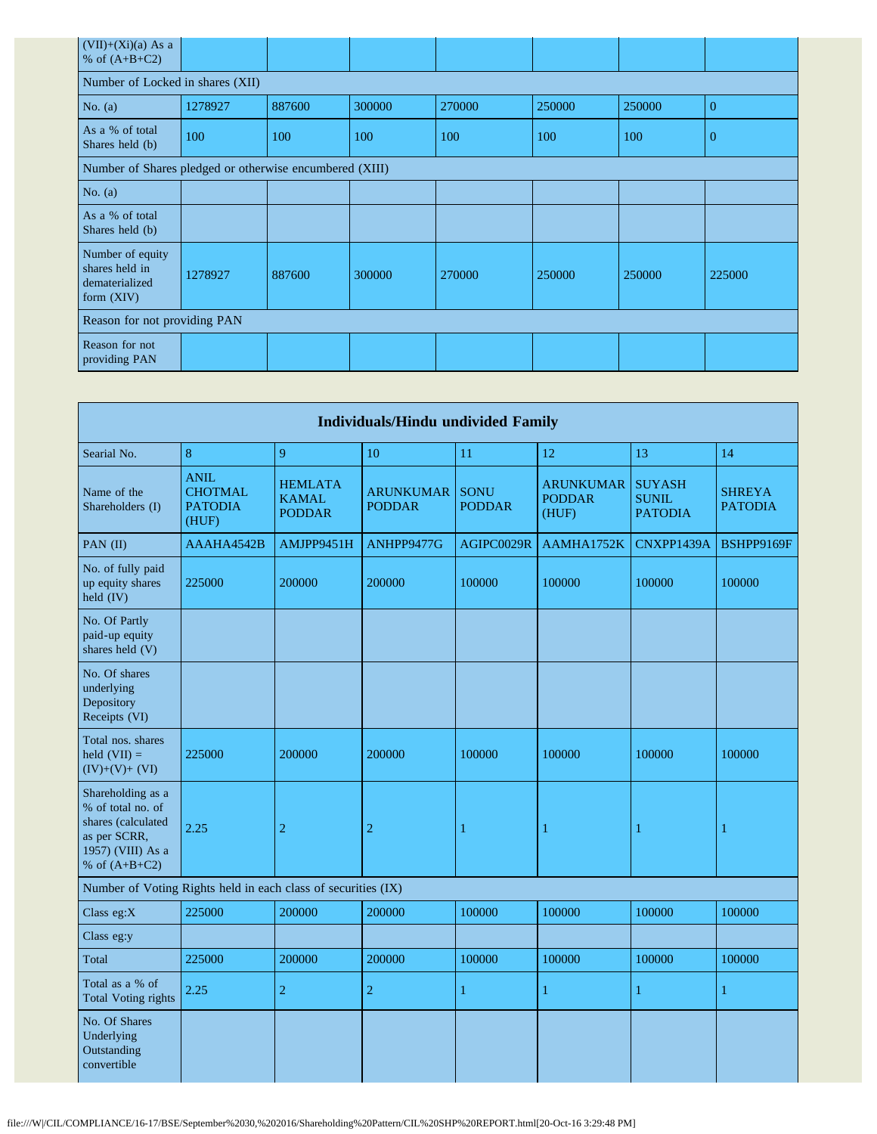| Number of Locked in shares (XII) |        |        |                                                         |        |        |                |  |  |  |  |  |
|----------------------------------|--------|--------|---------------------------------------------------------|--------|--------|----------------|--|--|--|--|--|
| 1278927                          | 887600 | 300000 | 270000                                                  | 250000 | 250000 | $\overline{0}$ |  |  |  |  |  |
| 100                              | 100    | 100    | 100                                                     | 100    | 100    | $\overline{0}$ |  |  |  |  |  |
|                                  |        |        |                                                         |        |        |                |  |  |  |  |  |
|                                  |        |        |                                                         |        |        |                |  |  |  |  |  |
|                                  |        |        |                                                         |        |        |                |  |  |  |  |  |
| 1278927                          | 887600 | 300000 | 270000                                                  | 250000 | 250000 | 225000         |  |  |  |  |  |
| Reason for not providing PAN     |        |        |                                                         |        |        |                |  |  |  |  |  |
|                                  |        |        |                                                         |        |        |                |  |  |  |  |  |
|                                  |        |        | Number of Shares pledged or otherwise encumbered (XIII) |        |        |                |  |  |  |  |  |

|                                                                                                                      | <b>Individuals/Hindu undivided Family</b>                |                                                 |                                   |                              |                                            |                                                 |                                 |  |  |  |  |
|----------------------------------------------------------------------------------------------------------------------|----------------------------------------------------------|-------------------------------------------------|-----------------------------------|------------------------------|--------------------------------------------|-------------------------------------------------|---------------------------------|--|--|--|--|
| Searial No.                                                                                                          | $\bf 8$                                                  | 9                                               | 10                                | 11                           | 12                                         | 13                                              | 14                              |  |  |  |  |
| Name of the<br>Shareholders (I)                                                                                      | <b>ANIL</b><br><b>CHOTMAL</b><br><b>PATODIA</b><br>(HUF) | <b>HEMLATA</b><br><b>KAMAL</b><br><b>PODDAR</b> | <b>ARUNKUMAR</b><br><b>PODDAR</b> | <b>SONU</b><br><b>PODDAR</b> | <b>ARUNKUMAR</b><br><b>PODDAR</b><br>(HUF) | <b>SUYASH</b><br><b>SUNIL</b><br><b>PATODIA</b> | <b>SHREYA</b><br><b>PATODIA</b> |  |  |  |  |
| PAN (II)                                                                                                             | AAAHA4542B                                               | AMJPP9451H                                      | ANHPP9477G                        | AGIPC0029R                   | AAMHA1752K                                 | CNXPP1439A                                      | BSHPP9169F                      |  |  |  |  |
| No. of fully paid<br>up equity shares<br>held (IV)                                                                   | 225000                                                   | 200000                                          | 200000                            | 100000                       | 100000                                     | 100000                                          | 100000                          |  |  |  |  |
| No. Of Partly<br>paid-up equity<br>shares held (V)                                                                   |                                                          |                                                 |                                   |                              |                                            |                                                 |                                 |  |  |  |  |
| No. Of shares<br>underlying<br>Depository<br>Receipts (VI)                                                           |                                                          |                                                 |                                   |                              |                                            |                                                 |                                 |  |  |  |  |
| Total nos. shares<br>held $(VII) =$<br>$(IV)+(V)+(VI)$                                                               | 225000                                                   | 200000                                          | 200000                            | 100000                       | 100000                                     | 100000                                          | 100000                          |  |  |  |  |
| Shareholding as a<br>% of total no. of<br>shares (calculated<br>as per SCRR,<br>1957) (VIII) As a<br>% of $(A+B+C2)$ | 2.25                                                     | $\overline{c}$                                  | $\overline{c}$                    | 1                            | $\mathbf{1}$                               | 1                                               | 1                               |  |  |  |  |
| Number of Voting Rights held in each class of securities (IX)                                                        |                                                          |                                                 |                                   |                              |                                            |                                                 |                                 |  |  |  |  |
| Class eg: $X$                                                                                                        | 225000                                                   | 200000                                          | 200000                            | 100000                       | 100000                                     | 100000                                          | 100000                          |  |  |  |  |
| Class eg:y                                                                                                           |                                                          |                                                 |                                   |                              |                                            |                                                 |                                 |  |  |  |  |
| Total                                                                                                                | 225000                                                   | 200000                                          | 200000                            | 100000                       | 100000                                     | 100000                                          | 100000                          |  |  |  |  |
| Total as a % of<br><b>Total Voting rights</b>                                                                        | 2.25                                                     | $\overline{2}$                                  | $\overline{2}$                    | $\mathbf{1}$                 | 1                                          | $\mathbf{1}$                                    | $\mathbf{1}$                    |  |  |  |  |
| No. Of Shares<br>Underlying<br>Outstanding<br>convertible                                                            |                                                          |                                                 |                                   |                              |                                            |                                                 |                                 |  |  |  |  |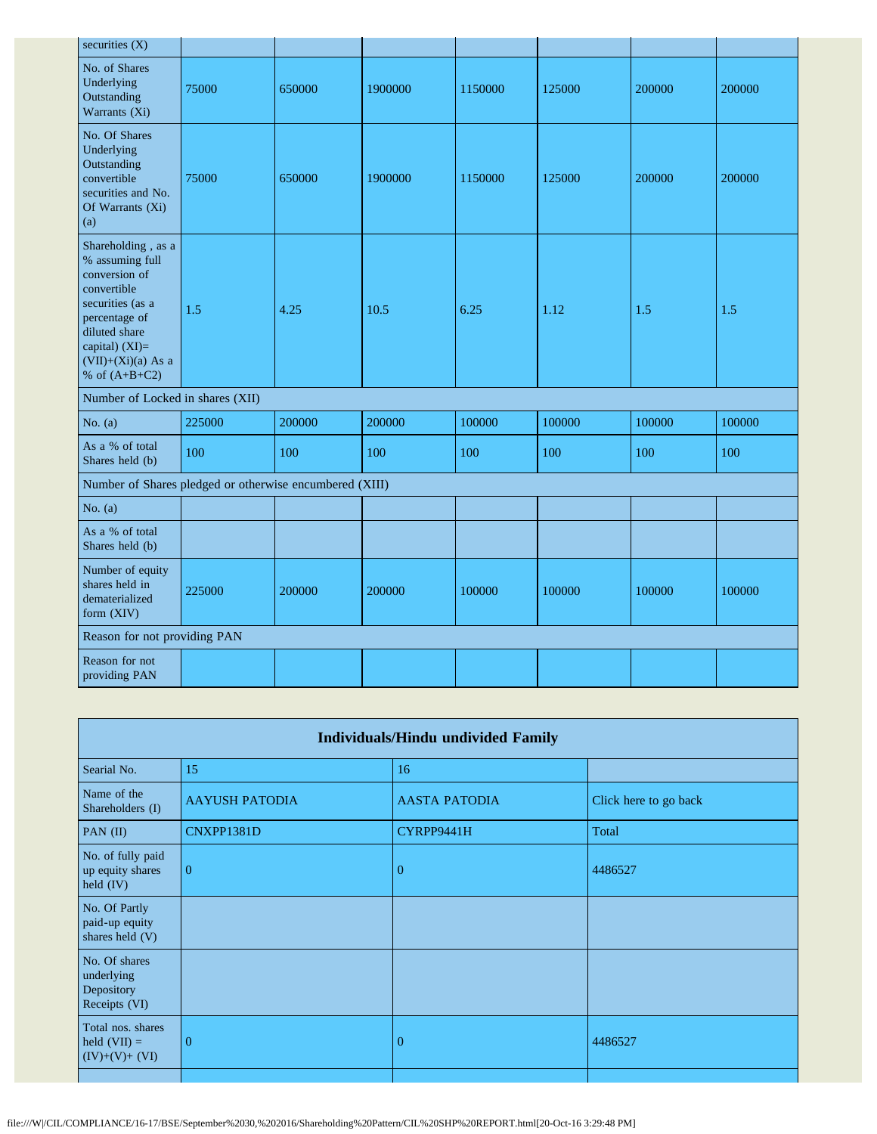| 75000                            | 650000 | 1900000 | 1150000                                                 | 125000 | 200000 | 200000 |
|----------------------------------|--------|---------|---------------------------------------------------------|--------|--------|--------|
| 75000                            | 650000 | 1900000 | 1150000                                                 | 125000 | 200000 | 200000 |
| 1.5                              | 4.25   | 10.5    | 6.25                                                    | 1.12   | 1.5    | 1.5    |
| Number of Locked in shares (XII) |        |         |                                                         |        |        |        |
| 225000                           | 200000 | 200000  | 100000                                                  | 100000 | 100000 | 100000 |
| 100                              | 100    | 100     | 100                                                     | 100    | 100    | 100    |
|                                  |        |         |                                                         |        |        |        |
|                                  |        |         |                                                         |        |        |        |
|                                  |        |         |                                                         |        |        |        |
| 225000                           | 200000 | 200000  | 100000                                                  | 100000 | 100000 | 100000 |
| Reason for not providing PAN     |        |         |                                                         |        |        |        |
|                                  |        |         |                                                         |        |        |        |
|                                  |        |         | Number of Shares pledged or otherwise encumbered (XIII) |        |        |        |

| <b>Individuals/Hindu undivided Family</b>                  |                       |                      |                       |  |  |
|------------------------------------------------------------|-----------------------|----------------------|-----------------------|--|--|
| Searial No.                                                | 15                    | 16                   |                       |  |  |
| Name of the<br>Shareholders (I)                            | <b>AAYUSH PATODIA</b> | <b>AASTA PATODIA</b> | Click here to go back |  |  |
| PAN (II)                                                   | CNXPP1381D            | CYRPP9441H           | Total                 |  |  |
| No. of fully paid<br>up equity shares<br>held (IV)         | $\Omega$              | $\overline{0}$       | 4486527               |  |  |
| No. Of Partly<br>paid-up equity<br>shares held (V)         |                       |                      |                       |  |  |
| No. Of shares<br>underlying<br>Depository<br>Receipts (VI) |                       |                      |                       |  |  |
| Total nos. shares<br>held $(VII) =$<br>$(IV)+(V)+(VI)$     | $\theta$              | $\overline{0}$       | 4486527               |  |  |
|                                                            |                       |                      |                       |  |  |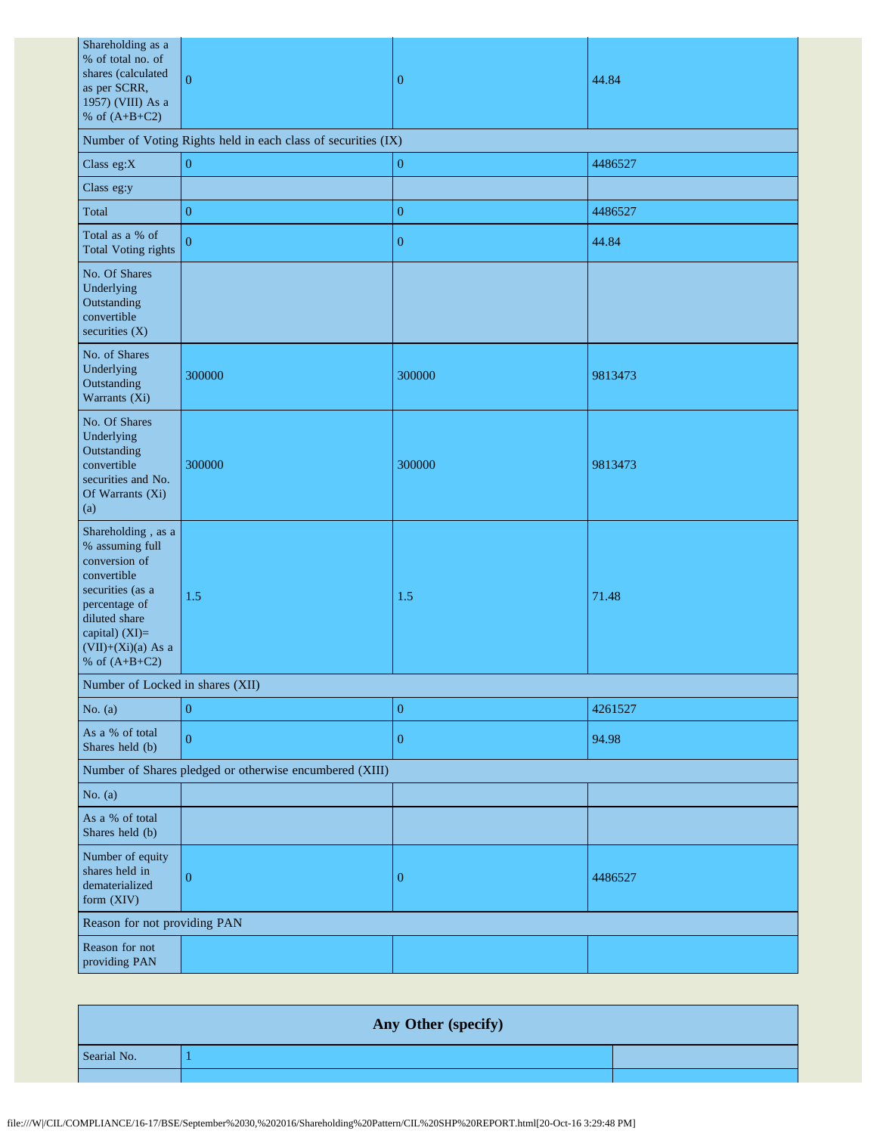| Shareholding as a<br>% of total no. of<br>shares (calculated<br>as per SCRR,<br>1957) (VIII) As a<br>% of $(A+B+C2)$                                                                     | $\overline{0}$                                                | $\boldsymbol{0}$ | 44.84   |  |  |  |
|------------------------------------------------------------------------------------------------------------------------------------------------------------------------------------------|---------------------------------------------------------------|------------------|---------|--|--|--|
|                                                                                                                                                                                          | Number of Voting Rights held in each class of securities (IX) |                  |         |  |  |  |
| Class eg: $X$                                                                                                                                                                            | $\boldsymbol{0}$                                              | $\overline{0}$   | 4486527 |  |  |  |
| Class eg:y                                                                                                                                                                               |                                                               |                  |         |  |  |  |
| Total                                                                                                                                                                                    | $\boldsymbol{0}$                                              | $\mathbf{0}$     | 4486527 |  |  |  |
| Total as a % of<br><b>Total Voting rights</b>                                                                                                                                            | $\overline{0}$                                                | $\overline{0}$   | 44.84   |  |  |  |
| No. Of Shares<br>Underlying<br>Outstanding<br>convertible<br>securities (X)                                                                                                              |                                                               |                  |         |  |  |  |
| No. of Shares<br>Underlying<br>Outstanding<br>Warrants (Xi)                                                                                                                              | 300000                                                        | 300000           | 9813473 |  |  |  |
| No. Of Shares<br>Underlying<br>Outstanding<br>convertible<br>securities and No.<br>Of Warrants (Xi)<br>(a)                                                                               | 300000                                                        | 300000           | 9813473 |  |  |  |
| Shareholding, as a<br>% assuming full<br>conversion of<br>convertible<br>securities (as a<br>percentage of<br>diluted share<br>capital) (XI)=<br>$(VII)+(Xi)(a)$ As a<br>% of $(A+B+C2)$ | 1.5                                                           | 1.5              | 71.48   |  |  |  |
| Number of Locked in shares (XII)                                                                                                                                                         |                                                               |                  |         |  |  |  |
| No. $(a)$                                                                                                                                                                                | $\boldsymbol{0}$                                              | $\boldsymbol{0}$ | 4261527 |  |  |  |
| As a % of total<br>Shares held (b)                                                                                                                                                       | $\overline{0}$                                                | $\mathbf{0}$     | 94.98   |  |  |  |
|                                                                                                                                                                                          | Number of Shares pledged or otherwise encumbered (XIII)       |                  |         |  |  |  |
| No. $(a)$                                                                                                                                                                                |                                                               |                  |         |  |  |  |
| As a % of total<br>Shares held (b)                                                                                                                                                       |                                                               |                  |         |  |  |  |
| Number of equity<br>shares held in<br>dematerialized<br>form (XIV)                                                                                                                       | $\mathbf{0}$                                                  | $\overline{0}$   | 4486527 |  |  |  |
| Reason for not providing PAN                                                                                                                                                             |                                                               |                  |         |  |  |  |
| Reason for not<br>providing PAN                                                                                                                                                          |                                                               |                  |         |  |  |  |

|             | Any Other (specify) |  |
|-------------|---------------------|--|
| Searial No. |                     |  |
|             |                     |  |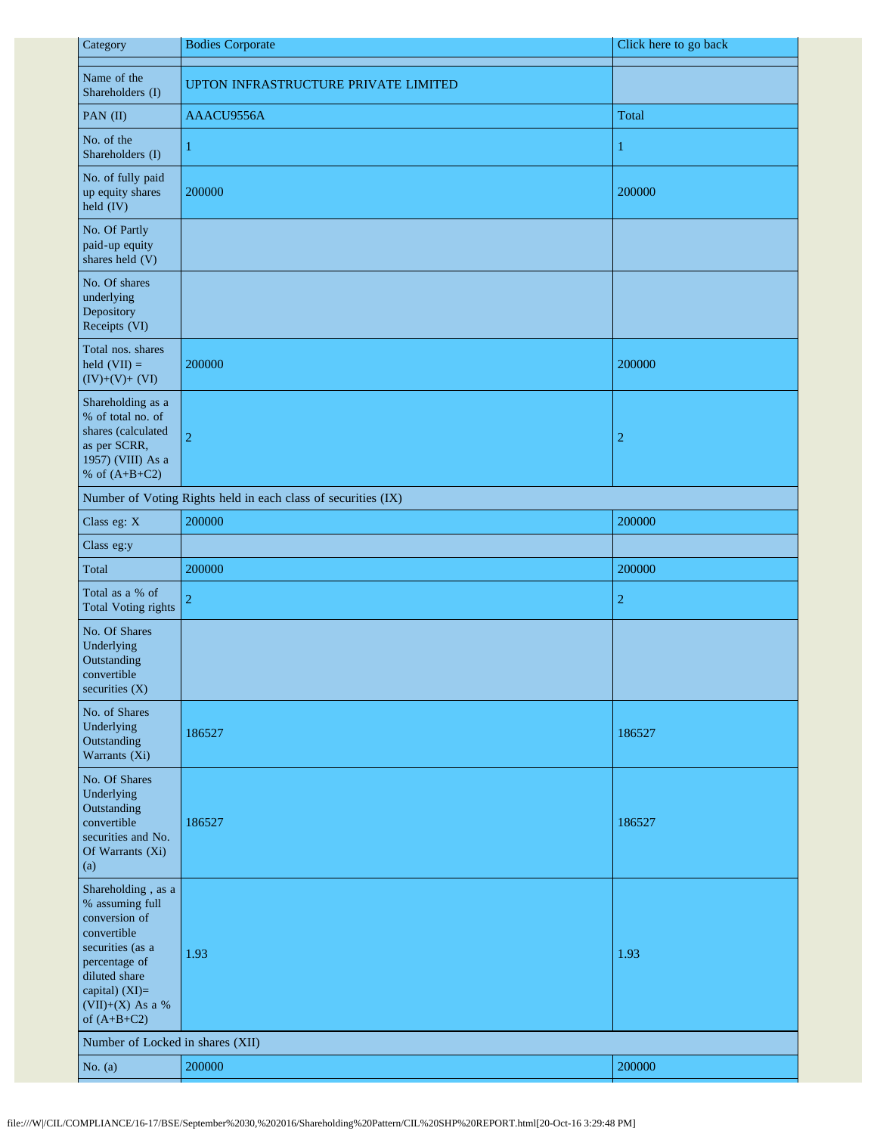| Category                                                                                                                                                                           | <b>Bodies Corporate</b>                                       | Click here to go back |
|------------------------------------------------------------------------------------------------------------------------------------------------------------------------------------|---------------------------------------------------------------|-----------------------|
| Name of the<br>Shareholders (I)                                                                                                                                                    | UPTON INFRASTRUCTURE PRIVATE LIMITED                          |                       |
| PAN (II)                                                                                                                                                                           | AAACU9556A                                                    | Total                 |
| No. of the<br>Shareholders (I)                                                                                                                                                     | 1                                                             | 1                     |
| No. of fully paid<br>up equity shares<br>held (IV)                                                                                                                                 | 200000                                                        | 200000                |
| No. Of Partly<br>paid-up equity<br>shares held (V)                                                                                                                                 |                                                               |                       |
| No. Of shares<br>underlying<br>Depository<br>Receipts (VI)                                                                                                                         |                                                               |                       |
| Total nos. shares<br>held $(VII) =$<br>$(IV)+(V)+(VI)$                                                                                                                             | 200000                                                        | 200000                |
| Shareholding as a<br>% of total no. of<br>shares (calculated<br>as per SCRR,<br>1957) (VIII) As a<br>% of $(A+B+C2)$                                                               | $\overline{c}$                                                | $\overline{c}$        |
|                                                                                                                                                                                    | Number of Voting Rights held in each class of securities (IX) |                       |
| Class eg: X                                                                                                                                                                        | 200000                                                        | 200000                |
| Class eg:y                                                                                                                                                                         |                                                               |                       |
| Total                                                                                                                                                                              | 200000                                                        | 200000                |
| Total as a % of<br><b>Total Voting rights</b>                                                                                                                                      | $\overline{2}$                                                | $\boldsymbol{2}$      |
| No. Of Shares<br>Underlying<br>Outstanding<br>convertible<br>securities (X)                                                                                                        |                                                               |                       |
| No. of Shares<br>Underlying<br>Outstanding<br>Warrants (Xi)                                                                                                                        | 186527                                                        | 186527                |
| No. Of Shares<br>Underlying<br>Outstanding<br>convertible<br>securities and No.<br>Of Warrants (Xi)<br>(a)                                                                         | 186527                                                        | 186527                |
| Shareholding, as a<br>% assuming full<br>conversion of<br>convertible<br>securities (as a<br>percentage of<br>diluted share<br>capital) (XI)=<br>(VII)+(X) As a %<br>of $(A+B+C2)$ | 1.93                                                          | 1.93                  |
| Number of Locked in shares (XII)                                                                                                                                                   |                                                               |                       |
| No. $(a)$                                                                                                                                                                          | 200000                                                        | 200000                |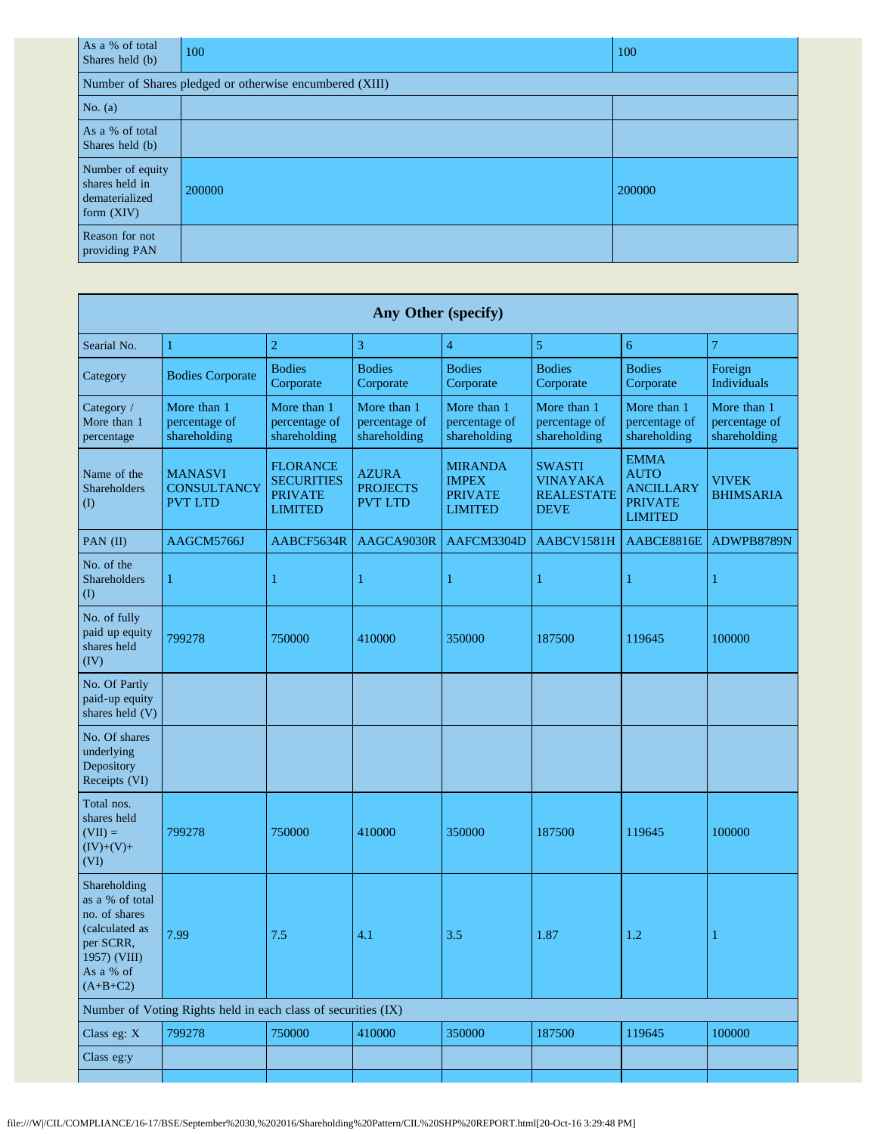| As a % of total<br>Shares held (b)                                   | 100                                                     | 100    |  |  |  |  |
|----------------------------------------------------------------------|---------------------------------------------------------|--------|--|--|--|--|
|                                                                      | Number of Shares pledged or otherwise encumbered (XIII) |        |  |  |  |  |
| No. $(a)$                                                            |                                                         |        |  |  |  |  |
| As a % of total<br>Shares held (b)                                   |                                                         |        |  |  |  |  |
| Number of equity<br>shares held in<br>dematerialized<br>form $(XIV)$ | 200000                                                  | 200000 |  |  |  |  |
| Reason for not<br>providing PAN                                      |                                                         |        |  |  |  |  |

| <b>Any Other (specify)</b>                                                                                                 |                                                        |                                                                          |                                                   |                                                                    |                                                                      |                                                                                    |                                              |
|----------------------------------------------------------------------------------------------------------------------------|--------------------------------------------------------|--------------------------------------------------------------------------|---------------------------------------------------|--------------------------------------------------------------------|----------------------------------------------------------------------|------------------------------------------------------------------------------------|----------------------------------------------|
| Searial No.                                                                                                                | $\mathbf{1}$                                           | $\overline{2}$                                                           | 3                                                 | $\overline{\mathbf{4}}$                                            | $\sqrt{5}$                                                           | 6                                                                                  | $\tau$                                       |
| Category                                                                                                                   | <b>Bodies Corporate</b>                                | <b>Bodies</b><br>Corporate                                               | <b>Bodies</b><br>Corporate                        | <b>Bodies</b><br>Corporate                                         | <b>Bodies</b><br>Corporate                                           | <b>Bodies</b><br>Corporate                                                         | Foreign<br>Individuals                       |
| Category /<br>More than 1<br>percentage                                                                                    | More than 1<br>percentage of<br>shareholding           | More than 1<br>percentage of<br>shareholding                             | More than 1<br>percentage of<br>shareholding      | More than 1<br>percentage of<br>shareholding                       | More than 1<br>percentage of<br>shareholding                         | More than 1<br>percentage of<br>shareholding                                       | More than 1<br>percentage of<br>shareholding |
| Name of the<br>Shareholders<br>$\rm (I)$                                                                                   | <b>MANASVI</b><br><b>CONSULTANCY</b><br><b>PVT LTD</b> | <b>FLORANCE</b><br><b>SECURITIES</b><br><b>PRIVATE</b><br><b>LIMITED</b> | <b>AZURA</b><br><b>PROJECTS</b><br><b>PVT LTD</b> | <b>MIRANDA</b><br><b>IMPEX</b><br><b>PRIVATE</b><br><b>LIMITED</b> | <b>SWASTI</b><br><b>VINAYAKA</b><br><b>REALESTATE</b><br><b>DEVE</b> | <b>EMMA</b><br><b>AUTO</b><br><b>ANCILLARY</b><br><b>PRIVATE</b><br><b>LIMITED</b> | <b>VIVEK</b><br><b>BHIMSARIA</b>             |
| PAN (II)                                                                                                                   | AAGCM5766J                                             | AABCF5634R                                                               | AAGCA9030R                                        | AAFCM3304D                                                         | AABCV1581H                                                           | AABCE8816E                                                                         | ADWPB8789N                                   |
| No. of the<br>Shareholders<br>$\rm(D)$                                                                                     | 1                                                      | 1                                                                        |                                                   | 1                                                                  | 1                                                                    | 1                                                                                  | 1                                            |
| No. of fully<br>paid up equity<br>shares held<br>(IV)                                                                      | 799278                                                 | 750000                                                                   | 410000                                            | 350000                                                             | 187500                                                               | 119645                                                                             | 100000                                       |
| No. Of Partly<br>paid-up equity<br>shares held (V)                                                                         |                                                        |                                                                          |                                                   |                                                                    |                                                                      |                                                                                    |                                              |
| No. Of shares<br>underlying<br>Depository<br>Receipts (VI)                                                                 |                                                        |                                                                          |                                                   |                                                                    |                                                                      |                                                                                    |                                              |
| Total nos.<br>shares held<br>$(VII) =$<br>$(IV)+(V)+$<br>(VI)                                                              | 799278                                                 | 750000                                                                   | 410000                                            | 350000                                                             | 187500                                                               | 119645                                                                             | 100000                                       |
| Shareholding<br>as a % of total<br>no. of shares<br>(calculated as<br>per SCRR,<br>1957) (VIII)<br>As a % of<br>$(A+B+C2)$ | 7.99                                                   | 7.5                                                                      | 4.1                                               | 3.5                                                                | 1.87                                                                 | $1.2\,$                                                                            |                                              |
| Number of Voting Rights held in each class of securities (IX)                                                              |                                                        |                                                                          |                                                   |                                                                    |                                                                      |                                                                                    |                                              |
| Class eg: X                                                                                                                | 799278                                                 | 750000                                                                   | 410000                                            | 350000                                                             | 187500                                                               | 119645                                                                             | 100000                                       |
| Class eg:y                                                                                                                 |                                                        |                                                                          |                                                   |                                                                    |                                                                      |                                                                                    |                                              |
|                                                                                                                            |                                                        |                                                                          |                                                   |                                                                    |                                                                      |                                                                                    |                                              |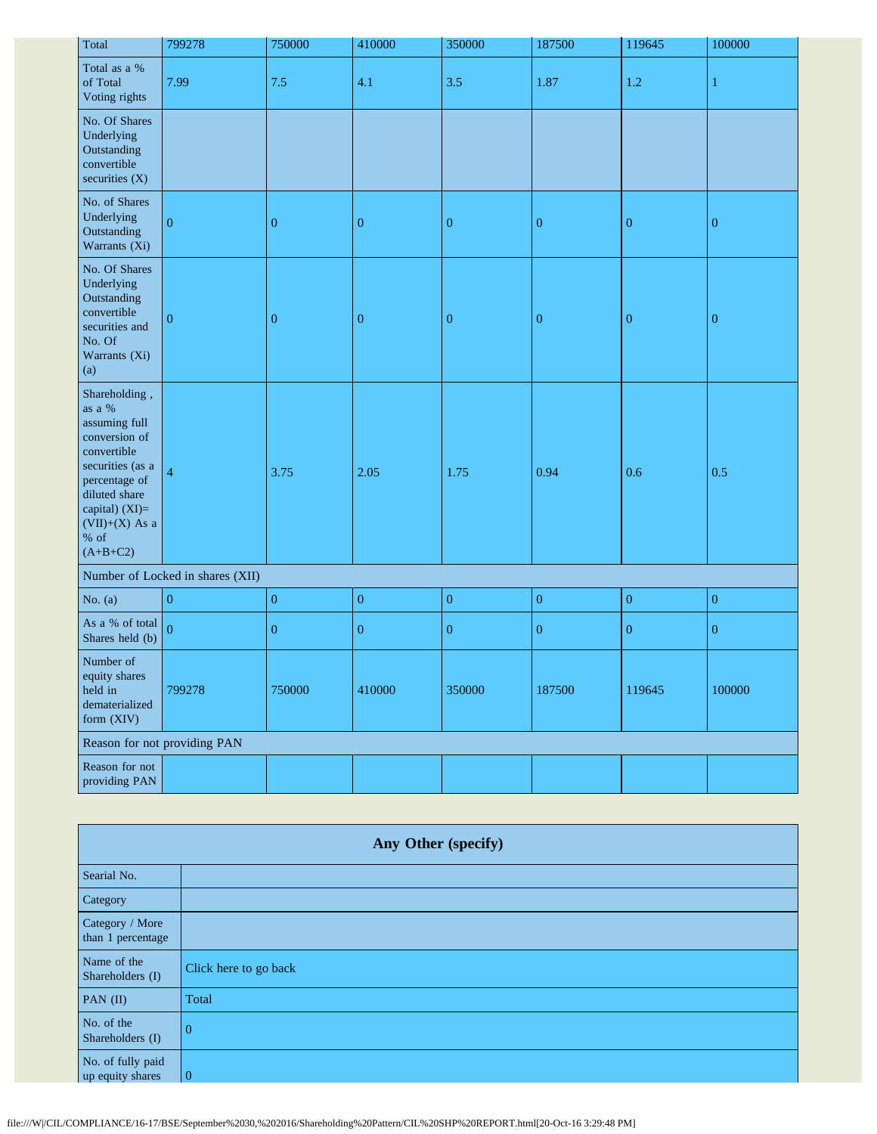| Total                                                                                                                                                                                        | 799278                       | 750000           | 410000           | 350000           | 187500           | 119645           | 100000           |
|----------------------------------------------------------------------------------------------------------------------------------------------------------------------------------------------|------------------------------|------------------|------------------|------------------|------------------|------------------|------------------|
| Total as a %<br>of Total<br>Voting rights                                                                                                                                                    | 7.99                         | 7.5              | 4.1              | 3.5              | 1.87             | 1.2              | 1                |
| No. Of Shares<br>Underlying<br>Outstanding<br>convertible<br>securities $(X)$                                                                                                                |                              |                  |                  |                  |                  |                  |                  |
| No. of Shares<br>Underlying<br>Outstanding<br>Warrants (Xi)                                                                                                                                  | $\overline{0}$               | $\boldsymbol{0}$ | $\boldsymbol{0}$ | $\boldsymbol{0}$ | $\boldsymbol{0}$ | $\boldsymbol{0}$ | $\boldsymbol{0}$ |
| No. Of Shares<br>Underlying<br>Outstanding<br>convertible<br>securities and<br>No. Of<br>Warrants (Xi)<br>(a)                                                                                | $\overline{0}$               | $\boldsymbol{0}$ | $\mathbf{0}$     | $\boldsymbol{0}$ | $\boldsymbol{0}$ | $\boldsymbol{0}$ | $\boldsymbol{0}$ |
| Shareholding,<br>as a %<br>assuming full<br>conversion of<br>convertible<br>securities (as a<br>percentage of<br>diluted share<br>capital) (XI)=<br>$(VII)+(X)$ As a<br>$%$ of<br>$(A+B+C2)$ | 4                            | 3.75             | 2.05             | 1.75             | 0.94             | 0.6              | 0.5              |
| Number of Locked in shares (XII)                                                                                                                                                             |                              |                  |                  |                  |                  |                  |                  |
| No. $(a)$                                                                                                                                                                                    | $\overline{0}$               | $\boldsymbol{0}$ | $\boldsymbol{0}$ | $\mathbf{0}$     | $\boldsymbol{0}$ | $\boldsymbol{0}$ | $\boldsymbol{0}$ |
| As a % of total<br>Shares held (b)                                                                                                                                                           | $\boldsymbol{0}$             | $\boldsymbol{0}$ | $\boldsymbol{0}$ | $\boldsymbol{0}$ | $\boldsymbol{0}$ | $\boldsymbol{0}$ | $\boldsymbol{0}$ |
| Number of<br>equity shares<br>held in<br>dematerialized<br>form (XIV)                                                                                                                        | 799278                       | 750000           | 410000           | 350000           | 187500           | 119645           | 100000           |
|                                                                                                                                                                                              | Reason for not providing PAN |                  |                  |                  |                  |                  |                  |
| Reason for not<br>providing PAN                                                                                                                                                              |                              |                  |                  |                  |                  |                  |                  |

| Any Other (specify)                   |                       |  |
|---------------------------------------|-----------------------|--|
| Searial No.                           |                       |  |
| Category                              |                       |  |
| Category / More<br>than 1 percentage  |                       |  |
| Name of the<br>Shareholders (I)       | Click here to go back |  |
| PAN $(II)$                            | Total                 |  |
| No. of the<br>Shareholders (I)        | $\overline{0}$        |  |
| No. of fully paid<br>up equity shares | $\overline{0}$        |  |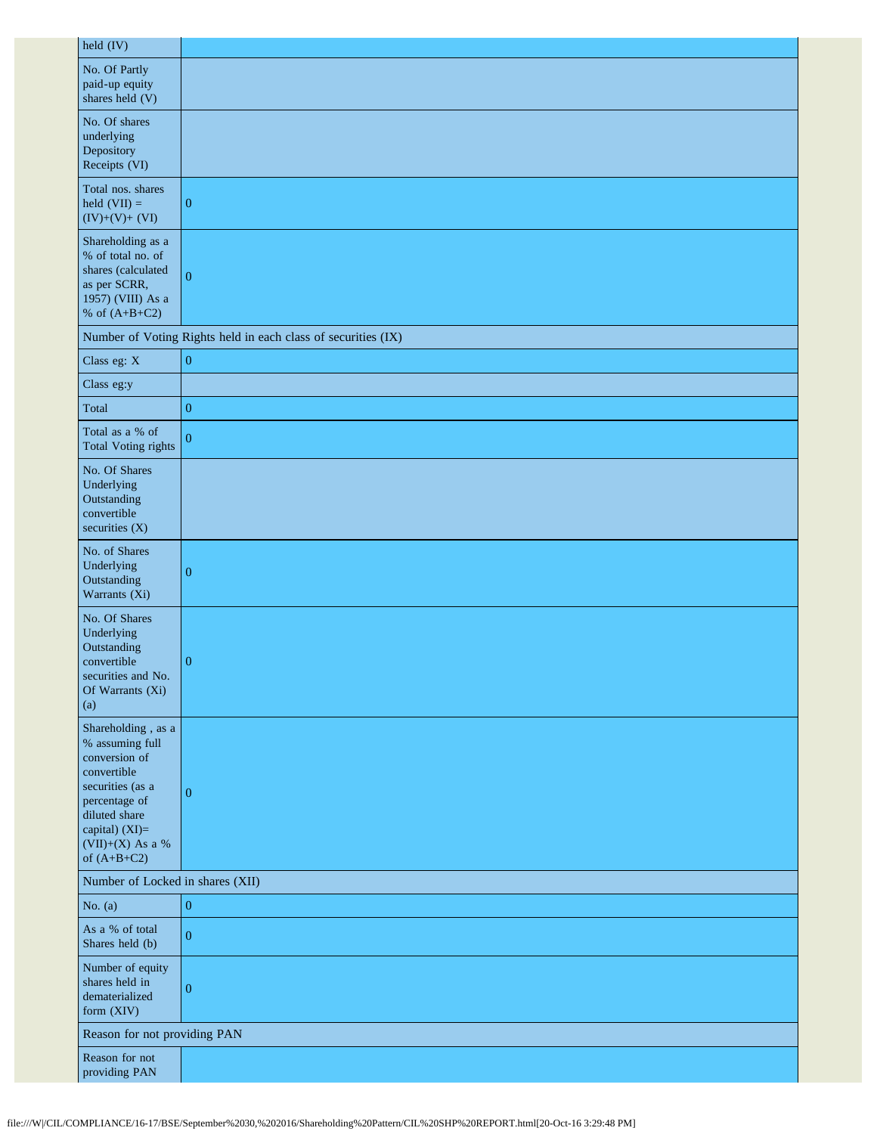| held (IV)                                                                                                                                                                            |                                                               |
|--------------------------------------------------------------------------------------------------------------------------------------------------------------------------------------|---------------------------------------------------------------|
| No. Of Partly<br>paid-up equity<br>shares held (V)                                                                                                                                   |                                                               |
| No. Of shares<br>underlying<br>Depository<br>Receipts (VI)                                                                                                                           |                                                               |
| Total nos. shares<br>held $(VII) =$<br>$(IV)+(V)+(VI)$                                                                                                                               | $\boldsymbol{0}$                                              |
| Shareholding as a<br>% of total no. of<br>shares (calculated<br>as per SCRR,<br>1957) (VIII) As a<br>% of $(A+B+C2)$                                                                 | $\mathbf{0}$                                                  |
|                                                                                                                                                                                      | Number of Voting Rights held in each class of securities (IX) |
| Class eg: X                                                                                                                                                                          | $\boldsymbol{0}$                                              |
| Class eg:y                                                                                                                                                                           |                                                               |
| Total                                                                                                                                                                                | $\boldsymbol{0}$                                              |
| Total as a % of<br><b>Total Voting rights</b>                                                                                                                                        | $\mathbf{0}$                                                  |
| No. Of Shares<br>Underlying<br>Outstanding<br>convertible<br>securities $(X)$                                                                                                        |                                                               |
| No. of Shares<br>Underlying<br>Outstanding<br>Warrants (Xi)                                                                                                                          | $\overline{0}$                                                |
| No. Of Shares<br>Underlying<br>Outstanding<br>convertible<br>securities and No.<br>Of Warrants (Xi)<br>(a)                                                                           | $\boldsymbol{0}$                                              |
| Shareholding, as a<br>% assuming full<br>conversion of<br>convertible<br>securities (as a<br>percentage of<br>diluted share<br>capital) (XI)=<br>$(VII)+(X)$ As a %<br>of $(A+B+C2)$ | $\boldsymbol{0}$                                              |
| Number of Locked in shares (XII)                                                                                                                                                     |                                                               |
| No. $(a)$                                                                                                                                                                            | $\boldsymbol{0}$                                              |
| As a % of total<br>Shares held (b)                                                                                                                                                   | $\mathbf{0}$                                                  |
| Number of equity<br>shares held in<br>dematerialized<br>form (XIV)                                                                                                                   | $\boldsymbol{0}$                                              |
| Reason for not providing PAN                                                                                                                                                         |                                                               |
| Reason for not<br>providing PAN                                                                                                                                                      |                                                               |